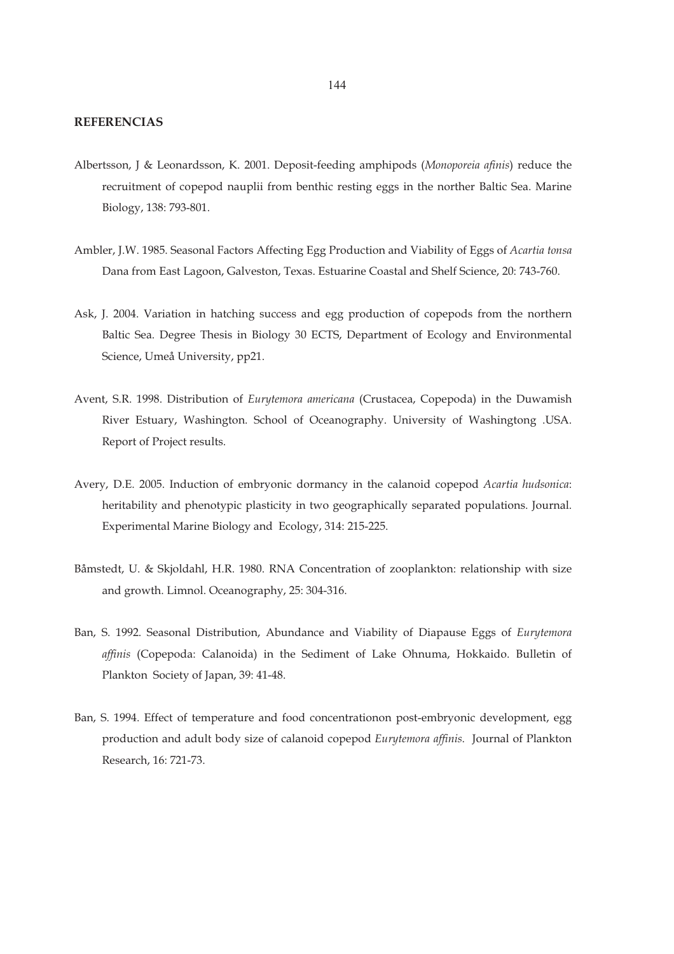## **REFERENCIAS**

- Albertsson, J & Leonardsson, K. 2001. Deposit-feeding amphipods (*Monoporeia afinis*) reduce the recruitment of copepod nauplii from benthic resting eggs in the norther Baltic Sea. Marine Biology, 138: 793-801.
- Ambler, J.W. 1985. Seasonal Factors Affecting Egg Production and Viability of Eggs of *Acartia tonsa* Dana from East Lagoon, Galveston, Texas. Estuarine Coastal and Shelf Science, 20: 743-760.
- Ask, J. 2004. Variation in hatching success and egg production of copepods from the northern Baltic Sea. Degree Thesis in Biology 30 ECTS, Department of Ecology and Environmental Science, Umeå University, pp21.
- Avent, S.R. 1998. Distribution of *Eurytemora americana* (Crustacea, Copepoda) in the Duwamish River Estuary, Washington. School of Oceanography. University of Washingtong .USA. Report of Project results.
- Avery, D.E. 2005. Induction of embryonic dormancy in the calanoid copepod *Acartia hudsonica*: heritability and phenotypic plasticity in two geographically separated populations. Journal. Experimental Marine Biology and Ecology, 314: 215-225.
- Båmstedt, U. & Skjoldahl, H.R. 1980. RNA Concentration of zooplankton: relationship with size and growth. Limnol. Oceanography, 25: 304-316.
- Ban, S. 1992. Seasonal Distribution, Abundance and Viability of Diapause Eggs of *Eurytemora affinis* (Copepoda: Calanoida) in the Sediment of Lake Ohnuma, Hokkaido. Bulletin of Plankton Society of Japan, 39: 41-48.
- Ban, S. 1994. Effect of temperature and food concentrationon post-embryonic development, egg production and adult body size of calanoid copepod *Eurytemora affinis*. Journal of Plankton Research, 16: 721-73.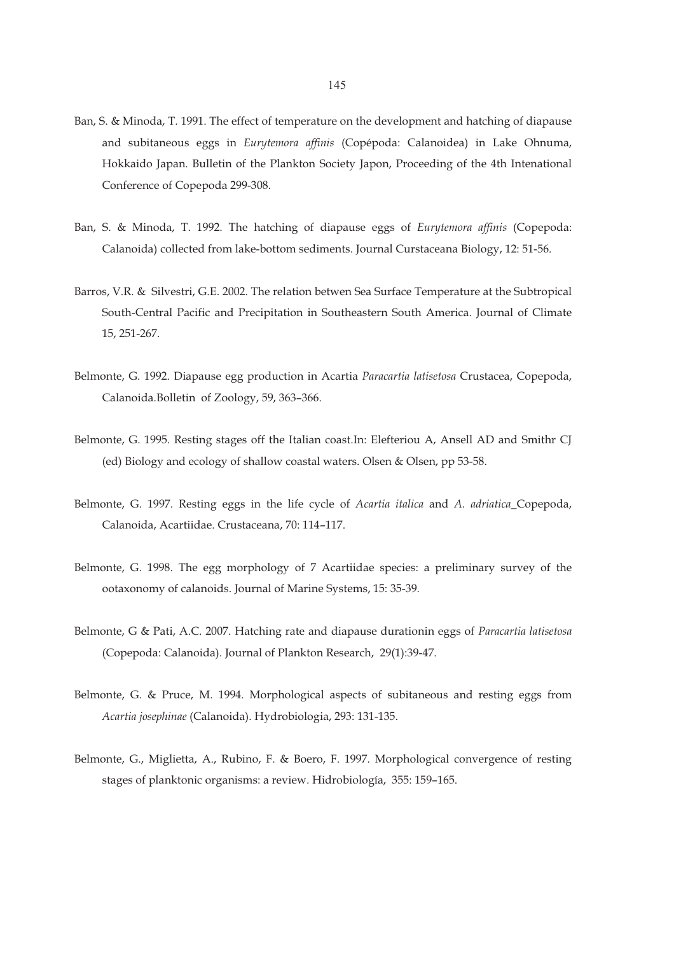- Ban, S. & Minoda, T. 1991. The effect of temperature on the development and hatching of diapause and subitaneous eggs in *Eurytemora affinis* (Copépoda: Calanoidea) in Lake Ohnuma, Hokkaido Japan. Bulletin of the Plankton Society Japon, Proceeding of the 4th Intenational Conference of Copepoda 299-308.
- Ban, S. & Minoda, T. 1992. The hatching of diapause eggs of *Eurytemora affinis* (Copepoda: Calanoida) collected from lake-bottom sediments. Journal Curstaceana Biology, 12: 51-56.
- Barros, V.R. & Silvestri, G.E. 2002. The relation betwen Sea Surface Temperature at the Subtropical South-Central Pacific and Precipitation in Southeastern South America. Journal of Climate 15, 251-267.
- Belmonte, G. 1992. Diapause egg production in Acartia *Paracartia latisetosa* Crustacea, Copepoda, Calanoida.Bolletin of Zoology, 59, 363–366.
- Belmonte, G. 1995. Resting stages off the Italian coast.In: Elefteriou A, Ansell AD and Smithr CJ (ed) Biology and ecology of shallow coastal waters. Olsen & Olsen, pp 53-58.
- Belmonte, G. 1997. Resting eggs in the life cycle of *Acartia italica* and *A. adriatica*\_Copepoda, Calanoida, Acartiidae. Crustaceana, 70: 114–117.
- Belmonte, G. 1998. The egg morphology of 7 Acartiidae species: a preliminary survey of the ootaxonomy of calanoids. Journal of Marine Systems, 15: 35-39.
- Belmonte, G & Pati, A.C. 2007. Hatching rate and diapause durationin eggs of *Paracartia latisetosa*  (Copepoda: Calanoida). Journal of Plankton Research, 29(1):39-47.
- Belmonte, G. & Pruce, M. 1994. Morphological aspects of subitaneous and resting eggs from *Acartia josephinae* (Calanoida). Hydrobiologia, 293: 131-135.
- Belmonte, G., Miglietta, A., Rubino, F. & Boero, F. 1997. Morphological convergence of resting stages of planktonic organisms: a review. Hidrobiología, 355: 159–165.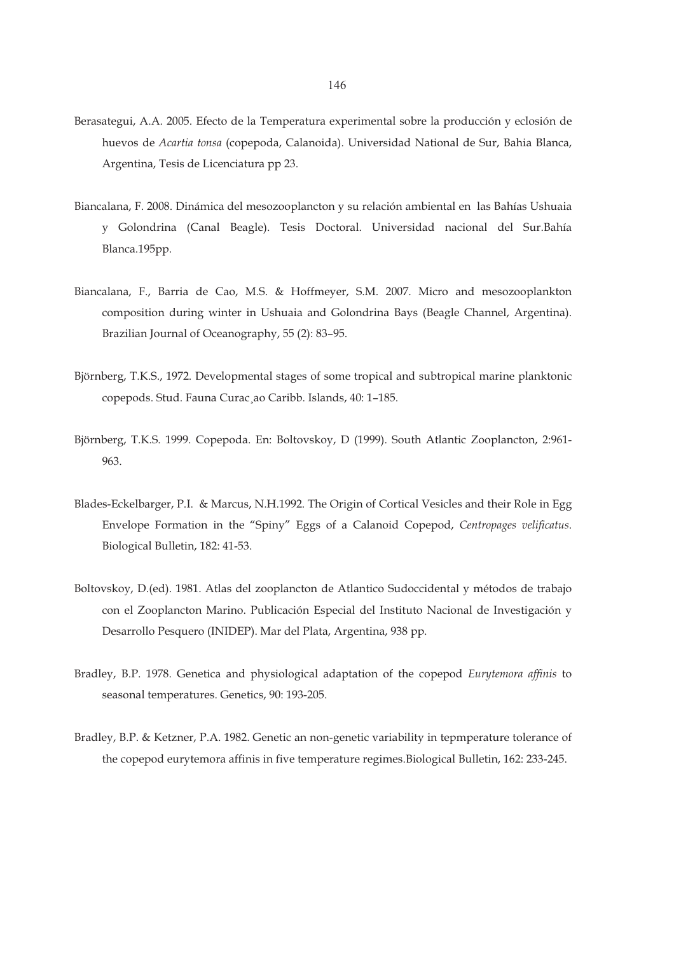- Berasategui, A.A. 2005. Efecto de la Temperatura experimental sobre la producción y eclosión de huevos de *Acartia tonsa* (copepoda, Calanoida). Universidad National de Sur, Bahia Blanca, Argentina, Tesis de Licenciatura pp 23.
- Biancalana, F. 2008. Dinámica del mesozooplancton y su relación ambiental en las Bahías Ushuaia y Golondrina (Canal Beagle). Tesis Doctoral. Universidad nacional del Sur.Bahía Blanca.195pp.
- Biancalana, F., Barria de Cao, M.S. & Hoffmeyer, S.M. 2007. Micro and mesozooplankton composition during winter in Ushuaia and Golondrina Bays (Beagle Channel, Argentina). Brazilian Journal of Oceanography, 55 (2): 83–95.
- Björnberg, T.K.S., 1972. Developmental stages of some tropical and subtropical marine planktonic copepods. Stud. Fauna Curac¸ao Caribb. Islands, 40: 1–185.
- Björnberg, T.K.S. 1999. Copepoda. En: Boltovskoy, D (1999). South Atlantic Zooplancton, 2:961- 963.
- Blades-Eckelbarger, P.I. & Marcus, N.H.1992. The Origin of Cortical Vesicles and their Role in Egg Envelope Formation in the "Spiny" Eggs of a Calanoid Copepod, *Centropages velificatus*. Biological Bulletin, 182: 41-53.
- Boltovskoy, D.(ed). 1981. Atlas del zooplancton de Atlantico Sudoccidental y métodos de trabajo con el Zooplancton Marino. Publicación Especial del Instituto Nacional de Investigación y Desarrollo Pesquero (INIDEP). Mar del Plata, Argentina, 938 pp.
- Bradley, B.P. 1978. Genetica and physiological adaptation of the copepod *Eurytemora affinis* to seasonal temperatures. Genetics, 90: 193-205.
- Bradley, B.P. & Ketzner, P.A. 1982. Genetic an non-genetic variability in tepmperature tolerance of the copepod eurytemora affinis in five temperature regimes.Biological Bulletin, 162: 233-245.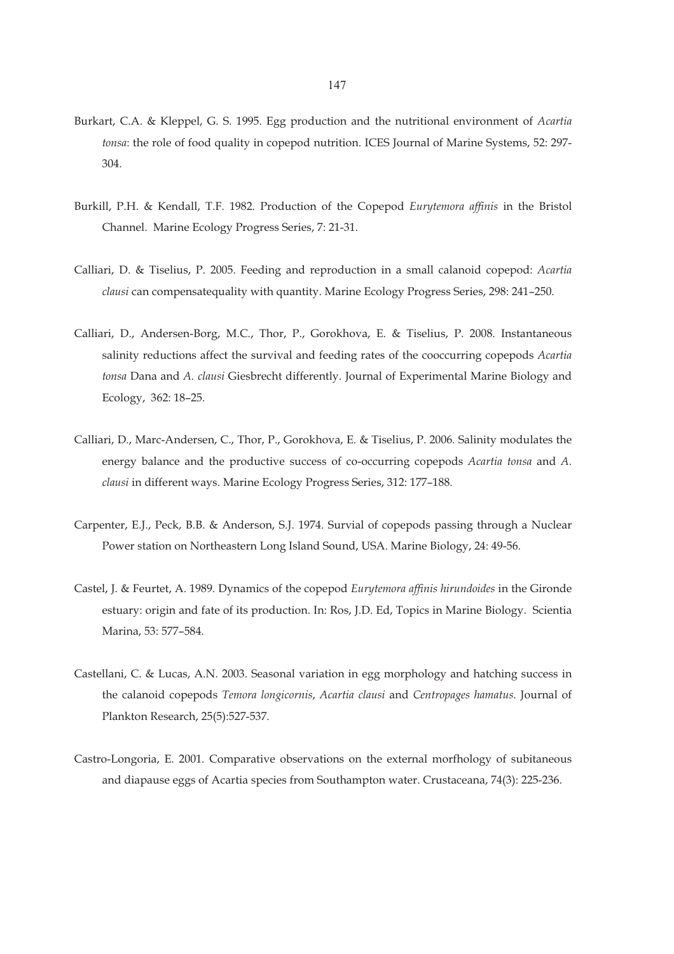- Burkart, C.A. & Kleppel, G. S. 1995. Egg production and the nutritional environment of *Acartia tonsa*: the role of food quality in copepod nutrition. ICES Journal of Marine Systems, 52: 297- 304.
- Burkill, P.H. & Kendall, T.F. 1982. Production of the Copepod *Eurytemora affinis* in the Bristol Channel. Marine Ecology Progress Series, 7: 21-31.
- Calliari, D. & Tiselius, P. 2005. Feeding and reproduction in a small calanoid copepod: *Acartia clausi* can compensatequality with quantity. Marine Ecology Progress Series, 298: 241–250.
- Calliari, D., Andersen-Borg, M.C., Thor, P., Gorokhova, E. & Tiselius, P. 2008. Instantaneous salinity reductions affect the survival and feeding rates of the cooccurring copepods *Acartia tonsa* Dana and *A. clausi* Giesbrecht differently. Journal of Experimental Marine Biology and Ecology, 362: 18–25.
- Calliari, D., Marc-Andersen, C., Thor, P., Gorokhova, E. & Tiselius, P. 2006. Salinity modulates the energy balance and the productive success of co-occurring copepods *Acartia tonsa* and *A. clausi* in different ways. Marine Ecology Progress Series, 312: 177–188.
- Carpenter, E.J., Peck, B.B. & Anderson, S.J. 1974. Survial of copepods passing through a Nuclear Power station on Northeastern Long Island Sound, USA. Marine Biology, 24: 49-56.
- Castel, J. & Feurtet, A. 1989. Dynamics of the copepod *Eurytemora affinis hirundoides* in the Gironde estuary: origin and fate of its production. In: Ros, J.D. Ed, Topics in Marine Biology. Scientia Marina, 53: 577–584.
- Castellani, C. & Lucas, A.N. 2003. Seasonal variation in egg morphology and hatching success in the calanoid copepods *Temora longicornis*, *Acartia clausi* and *Centropages hamatus*. Journal of Plankton Research, 25(5):527-537.
- Castro-Longoria, E. 2001. Comparative observations on the external morfhology of subitaneous and diapause eggs of Acartia species from Southampton water. Crustaceana, 74(3): 225-236.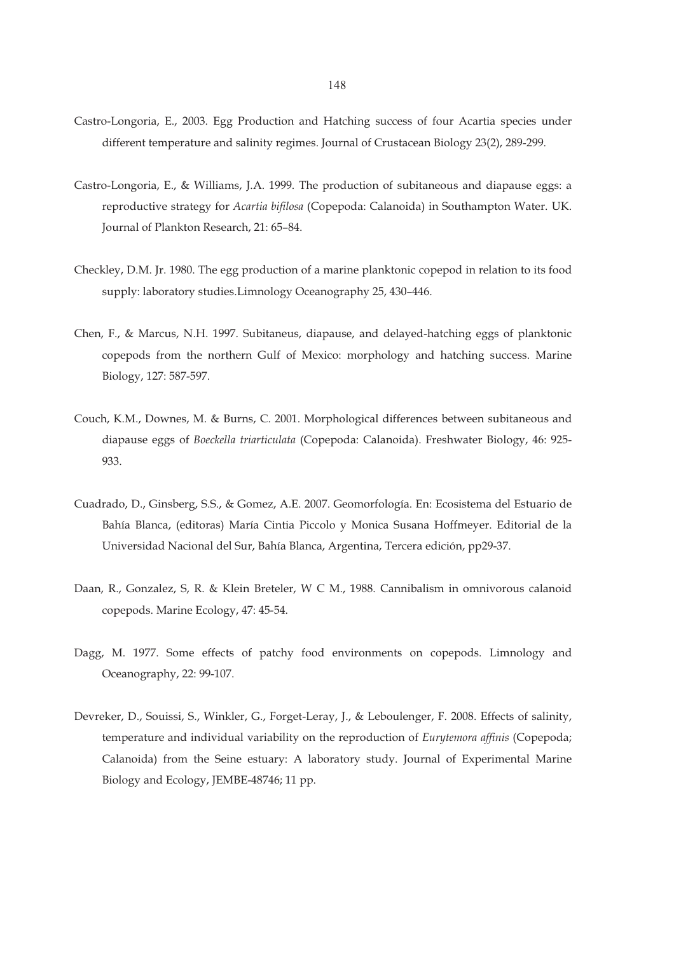- Castro-Longoria, E., 2003. Egg Production and Hatching success of four Acartia species under different temperature and salinity regimes. Journal of Crustacean Biology 23(2), 289-299.
- Castro-Longoria, E., & Williams, J.A. 1999. The production of subitaneous and diapause eggs: a reproductive strategy for *Acartia bifilosa* (Copepoda: Calanoida) in Southampton Water. UK. Journal of Plankton Research, 21: 65–84.
- Checkley, D.M. Jr. 1980. The egg production of a marine planktonic copepod in relation to its food supply: laboratory studies.Limnology Oceanography 25, 430–446.
- Chen, F., & Marcus, N.H. 1997. Subitaneus, diapause, and delayed-hatching eggs of planktonic copepods from the northern Gulf of Mexico: morphology and hatching success. Marine Biology, 127: 587-597.
- Couch, K.M., Downes, M. & Burns, C. 2001. Morphological differences between subitaneous and diapause eggs of *Boeckella triarticulata* (Copepoda: Calanoida). Freshwater Biology, 46: 925- 933.
- Cuadrado, D., Ginsberg, S.S., & Gomez, A.E. 2007. Geomorfología. En: Ecosistema del Estuario de Bahía Blanca, (editoras) María Cintia Piccolo y Monica Susana Hoffmeyer. Editorial de la Universidad Nacional del Sur, Bahía Blanca, Argentina, Tercera edición, pp29-37.
- Daan, R., Gonzalez, S, R. & Klein Breteler, W C M., 1988. Cannibalism in omnivorous calanoid copepods. Marine Ecology, 47: 45-54.
- Dagg, M. 1977. Some effects of patchy food environments on copepods. Limnology and Oceanography, 22: 99-107.
- Devreker, D., Souissi, S., Winkler, G., Forget-Leray, J., & Leboulenger, F. 2008. Effects of salinity, temperature and individual variability on the reproduction of *Eurytemora affinis* (Copepoda; Calanoida) from the Seine estuary: A laboratory study. Journal of Experimental Marine Biology and Ecology, JEMBE-48746; 11 pp.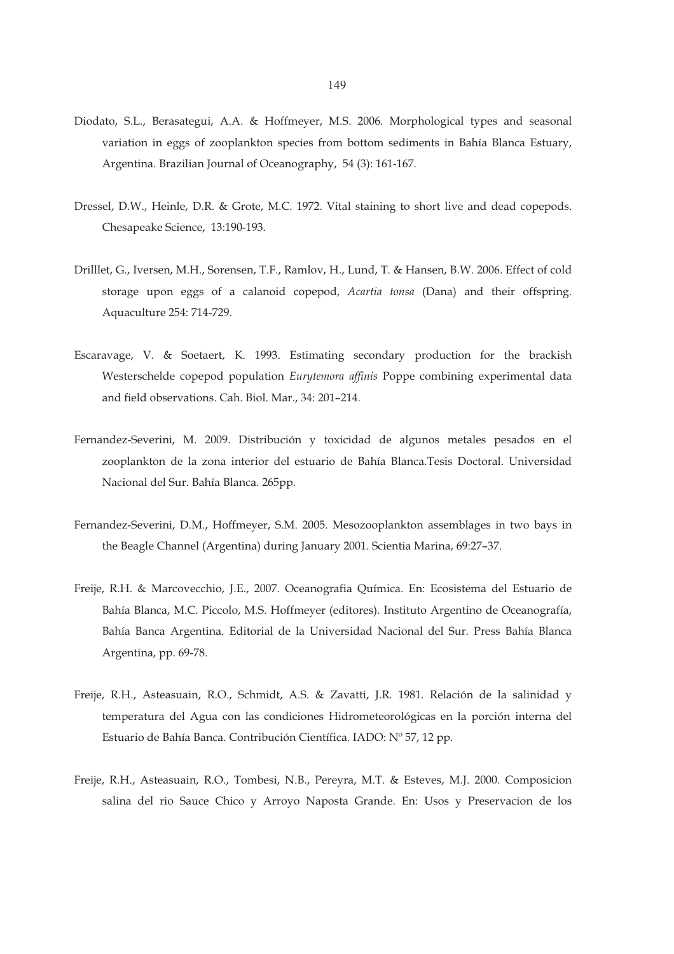- Diodato, S.L., Berasategui, A.A. & Hoffmeyer, M.S. 2006. Morphological types and seasonal variation in eggs of zooplankton species from bottom sediments in Bahía Blanca Estuary, Argentina. Brazilian Journal of Oceanography, 54 (3): 161-167.
- Dressel, D.W., Heinle, D.R. & Grote, M.C. 1972. Vital staining to short live and dead copepods. Chesapeake Science, 13:190-193.
- Drilllet, G., Iversen, M.H., Sorensen, T.F., Ramlov, H., Lund, T. & Hansen, B.W. 2006. Effect of cold storage upon eggs of a calanoid copepod, *Acartia tonsa* (Dana) and their offspring. Aquaculture 254: 714-729.
- Escaravage, V. & Soetaert, K. 1993. Estimating secondary production for the brackish Westerschelde copepod population *Eurytemora affinis* Poppe combining experimental data and field observations. Cah. Biol. Mar., 34: 201–214.
- Fernandez-Severini, M. 2009. Distribución y toxicidad de algunos metales pesados en el zooplankton de la zona interior del estuario de Bahía Blanca.Tesis Doctoral. Universidad Nacional del Sur. Bahía Blanca. 265pp.
- Fernandez-Severini, D.M., Hoffmeyer, S.M. 2005. Mesozooplankton assemblages in two bays in the Beagle Channel (Argentina) during January 2001. Scientia Marina, 69:27–37.
- Freije, R.H. & Marcovecchio, J.E., 2007. Oceanografia Química. En: Ecosistema del Estuario de Bahía Blanca, M.C. Piccolo, M.S. Hoffmeyer (editores). Instituto Argentino de Oceanografía, Bahía Banca Argentina. Editorial de la Universidad Nacional del Sur. Press Bahía Blanca Argentina, pp. 69-78.
- Freije, R.H., Asteasuain, R.O., Schmidt, A.S. & Zavatti, J.R. 1981. Relación de la salinidad y temperatura del Agua con las condiciones Hidrometeorológicas en la porción interna del Estuario de Bahía Banca. Contribución Científica. IADO: Nº 57, 12 pp.
- Freije, R.H., Asteasuain, R.O., Tombesi, N.B., Pereyra, M.T. & Esteves, M.J. 2000. Composicion salina del rio Sauce Chico y Arroyo Naposta Grande. En: Usos y Preservacion de los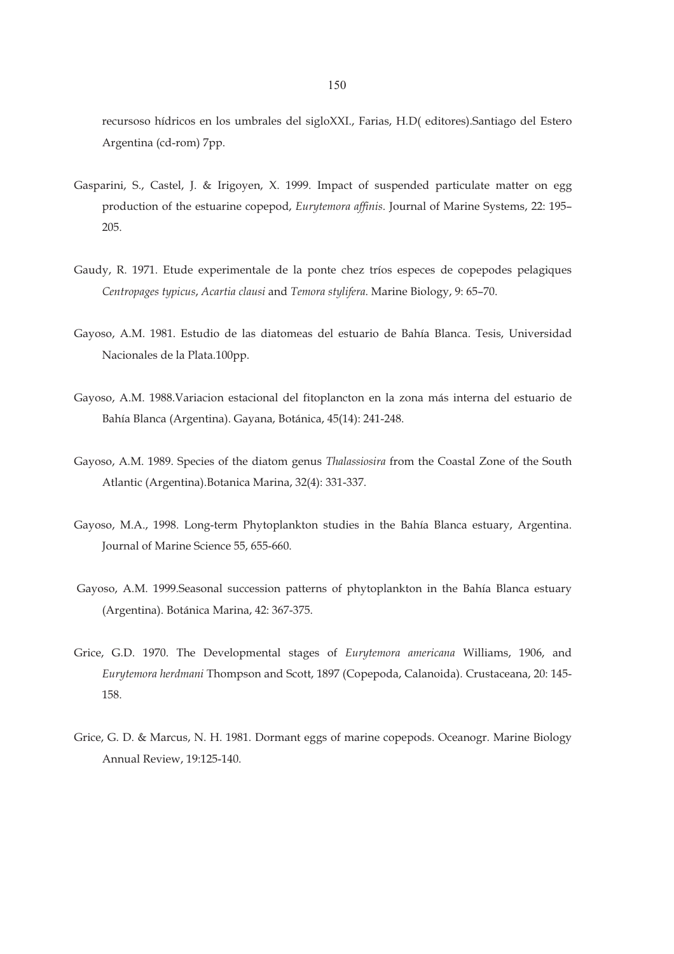recursoso hídricos en los umbrales del sigloXXI., Farias, H.D( editores).Santiago del Estero Argentina (cd-rom) 7pp.

- Gasparini, S., Castel, J. & Irigoyen, X. 1999. Impact of suspended particulate matter on egg production of the estuarine copepod, *Eurytemora affinis*. Journal of Marine Systems, 22: 195– 205.
- Gaudy, R. 1971. Etude experimentale de la ponte chez tríos especes de copepodes pelagiques *Centropages typicus*, *Acartia clausi* and *Temora stylifera*. Marine Biology, 9: 65–70.
- Gayoso, A.M. 1981. Estudio de las diatomeas del estuario de Bahía Blanca. Tesis, Universidad Nacionales de la Plata.100pp.
- Gayoso, A.M. 1988.Variacion estacional del fitoplancton en la zona más interna del estuario de Bahía Blanca (Argentina). Gayana, Botánica, 45(14): 241-248.
- Gayoso, A.M. 1989. Species of the diatom genus *Thalassiosira* from the Coastal Zone of the South Atlantic (Argentina).Botanica Marina, 32(4): 331-337.
- Gayoso, M.A., 1998. Long-term Phytoplankton studies in the Bahía Blanca estuary, Argentina. Journal of Marine Science 55, 655-660.
- Gayoso, A.M. 1999.Seasonal succession patterns of phytoplankton in the Bahía Blanca estuary (Argentina). Botánica Marina, 42: 367-375.
- Grice, G.D. 1970. The Developmental stages of *Eurytemora americana* Williams, 1906, and *Eurytemora herdmani* Thompson and Scott, 1897 (Copepoda, Calanoida). Crustaceana, 20: 145- 158.
- Grice, G. D. & Marcus, N. H. 1981. Dormant eggs of marine copepods. Oceanogr. Marine Biology Annual Review, 19:125-140.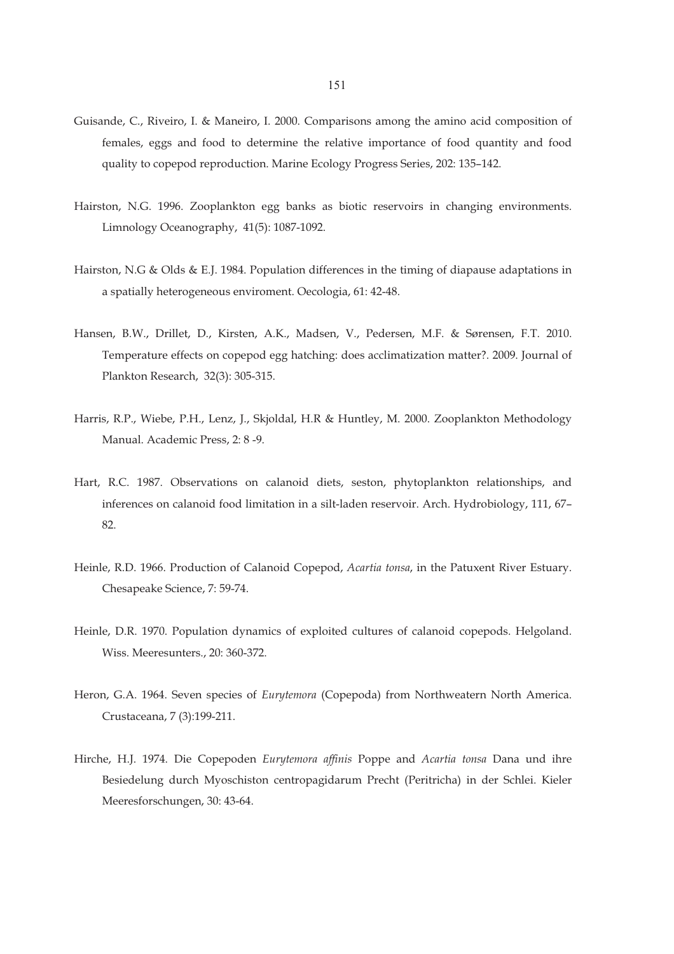- Guisande, C., Riveiro, I. & Maneiro, I. 2000. Comparisons among the amino acid composition of females, eggs and food to determine the relative importance of food quantity and food quality to copepod reproduction. Marine Ecology Progress Series, 202: 135–142.
- Hairston, N.G. 1996. Zooplankton egg banks as biotic reservoirs in changing environments. Limnology Oceanography, 41(5): 1087-1092.
- Hairston, N.G & Olds & E.J. 1984. Population differences in the timing of diapause adaptations in a spatially heterogeneous enviroment. Oecologia, 61: 42-48.
- Hansen, B.W., Drillet, D., Kirsten, A.K., Madsen, V., Pedersen, M.F. & Sørensen, F.T. 2010. Temperature effects on copepod egg hatching: does acclimatization matter?. 2009. Journal of Plankton Research, 32(3): 305-315.
- Harris, R.P., Wiebe, P.H., Lenz, J., Skjoldal, H.R & Huntley, M. 2000. Zooplankton Methodology Manual. Academic Press, 2: 8 -9.
- Hart, R.C. 1987. Observations on calanoid diets, seston, phytoplankton relationships, and inferences on calanoid food limitation in a silt-laden reservoir. Arch. Hydrobiology, 111, 67– 82.
- Heinle, R.D. 1966. Production of Calanoid Copepod, *Acartia tonsa*, in the Patuxent River Estuary. Chesapeake Science, 7: 59-74.
- Heinle, D.R. 1970. Population dynamics of exploited cultures of calanoid copepods. Helgoland. Wiss. Meeresunters., 20: 360-372.
- Heron, G.A. 1964. Seven species of *Eurytemora* (Copepoda) from Northweatern North America. Crustaceana, 7 (3):199-211.
- Hirche, H.J. 1974. Die Copepoden *Eurytemora affinis* Poppe and *Acartia tonsa* Dana und ihre Besiedelung durch Myoschiston centropagidarum Precht (Peritricha) in der Schlei. Kieler Meeresforschungen, 30: 43-64.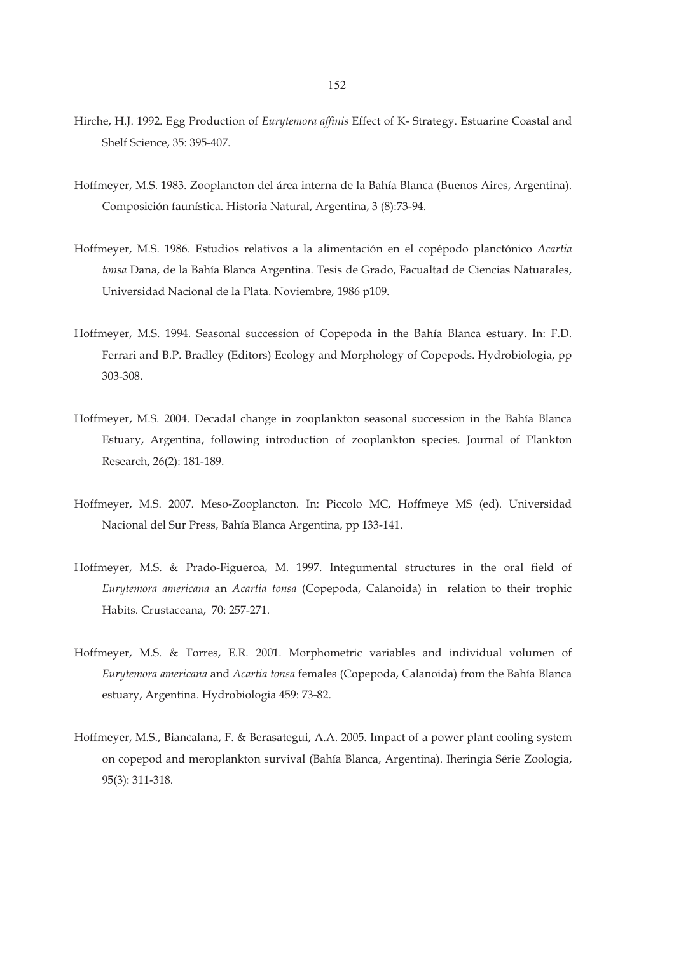- Hirche, H.J. 1992. Egg Production of *Eurytemora affinis* Effect of K- Strategy. Estuarine Coastal and Shelf Science, 35: 395-407.
- Hoffmeyer, M.S. 1983. Zooplancton del área interna de la Bahía Blanca (Buenos Aires, Argentina). Composición faunística. Historia Natural, Argentina, 3 (8):73-94.
- Hoffmeyer, M.S. 1986. Estudios relativos a la alimentación en el copépodo planctónico *Acartia tonsa* Dana, de la Bahía Blanca Argentina. Tesis de Grado, Facualtad de Ciencias Natuarales, Universidad Nacional de la Plata. Noviembre, 1986 p109.
- Hoffmeyer, M.S. 1994. Seasonal succession of Copepoda in the Bahía Blanca estuary. In: F.D. Ferrari and B.P. Bradley (Editors) Ecology and Morphology of Copepods. Hydrobiologia, pp 303-308.
- Hoffmeyer, M.S. 2004. Decadal change in zooplankton seasonal succession in the Bahía Blanca Estuary, Argentina, following introduction of zooplankton species. Journal of Plankton Research, 26(2): 181-189.
- Hoffmeyer, M.S. 2007. Meso-Zooplancton. In: Piccolo MC, Hoffmeye MS (ed). Universidad Nacional del Sur Press, Bahía Blanca Argentina, pp 133-141.
- Hoffmeyer, M.S. & Prado-Figueroa, M. 1997. Integumental structures in the oral field of *Eurytemora americana* an *Acartia tonsa* (Copepoda, Calanoida) in relation to their trophic Habits. Crustaceana, 70: 257-271.
- Hoffmeyer, M.S. & Torres, E.R. 2001. Morphometric variables and individual volumen of *Eurytemora americana* and *Acartia tonsa* females (Copepoda, Calanoida) from the Bahía Blanca estuary, Argentina. Hydrobiologia 459: 73-82.
- Hoffmeyer, M.S., Biancalana, F. & Berasategui, A.A. 2005. Impact of a power plant cooling system on copepod and meroplankton survival (Bahía Blanca, Argentina). Iheringia Série Zoologia, 95(3): 311-318.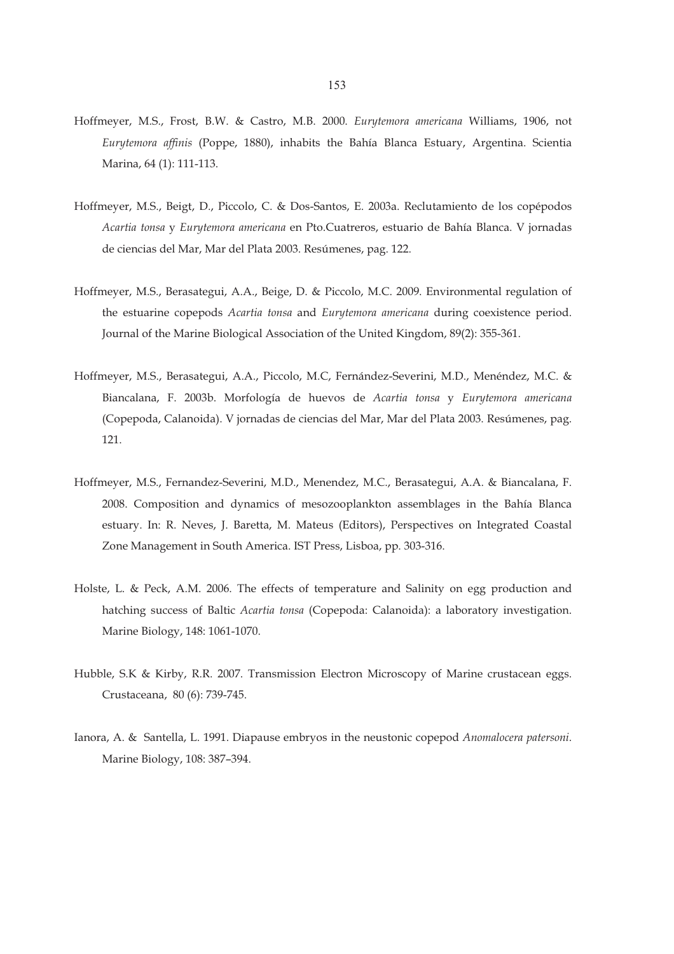- Hoffmeyer, M.S., Frost, B.W. & Castro, M.B. 2000. *Eurytemora americana* Williams, 1906, not *Eurytemora affinis* (Poppe, 1880), inhabits the Bahía Blanca Estuary, Argentina. Scientia Marina, 64 (1): 111-113.
- Hoffmeyer, M.S., Beigt, D., Piccolo, C. & Dos-Santos, E. 2003a. Reclutamiento de los copépodos *Acartia tonsa* y *Eurytemora americana* en Pto.Cuatreros, estuario de Bahía Blanca. V jornadas de ciencias del Mar, Mar del Plata 2003. Resúmenes, pag. 122.
- Hoffmeyer, M.S., Berasategui, A.A., Beige, D. & Piccolo, M.C. 2009. Environmental regulation of the estuarine copepods *Acartia tonsa* and *Eurytemora americana* during coexistence period. Journal of the Marine Biological Association of the United Kingdom, 89(2): 355-361.
- Hoffmeyer, M.S., Berasategui, A.A., Piccolo, M.C, Fernández-Severini, M.D., Menéndez, M.C. & Biancalana, F. 2003b. Morfología de huevos de *Acartia tonsa* y *Eurytemora americana* (Copepoda, Calanoida). V jornadas de ciencias del Mar, Mar del Plata 2003. Resúmenes, pag. 121.
- Hoffmeyer, M.S., Fernandez-Severini, M.D., Menendez, M.C., Berasategui, A.A. & Biancalana, F. 2008. Composition and dynamics of mesozooplankton assemblages in the Bahía Blanca estuary. In: R. Neves, J. Baretta, M. Mateus (Editors), Perspectives on Integrated Coastal Zone Management in South America. IST Press, Lisboa, pp. 303-316.
- Holste, L. & Peck, A.M. 2006. The effects of temperature and Salinity on egg production and hatching success of Baltic *Acartia tonsa* (Copepoda: Calanoida): a laboratory investigation. Marine Biology, 148: 1061-1070.
- Hubble, S.K & Kirby, R.R. 2007. Transmission Electron Microscopy of Marine crustacean eggs. Crustaceana, 80 (6): 739-745.
- Ianora, A. & Santella, L. 1991. Diapause embryos in the neustonic copepod *Anomalocera patersoni*. Marine Biology, 108: 387–394.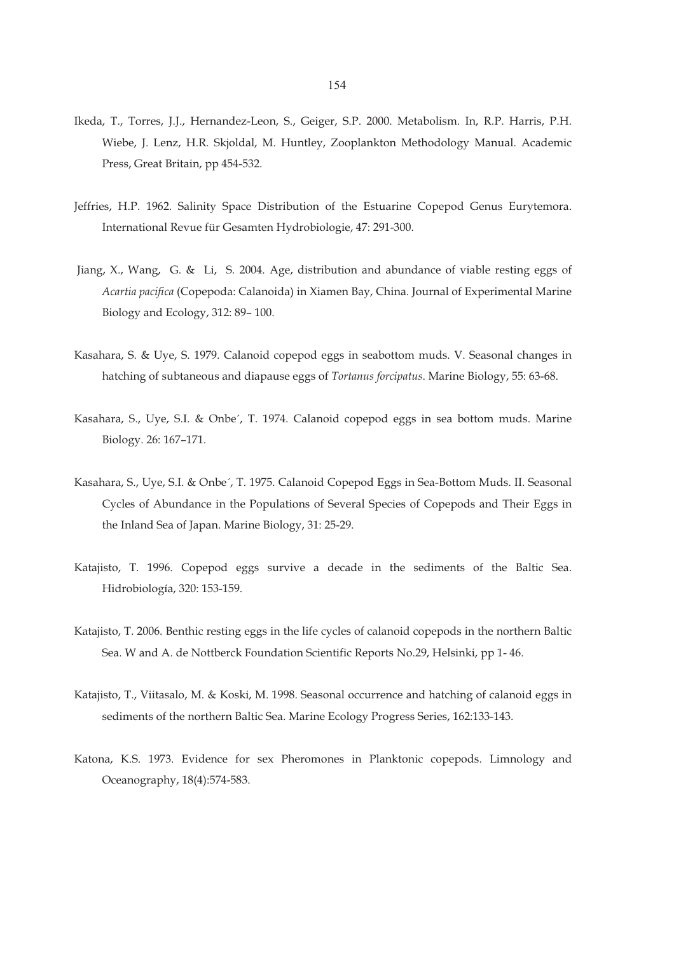- Ikeda, T., Torres, J.J., Hernandez-Leon, S., Geiger, S.P. 2000. Metabolism. In, R.P. Harris, P.H. Wiebe, J. Lenz, H.R. Skjoldal, M. Huntley, Zooplankton Methodology Manual. Academic Press, Great Britain, pp 454-532.
- Jeffries, H.P. 1962. Salinity Space Distribution of the Estuarine Copepod Genus Eurytemora. International Revue für Gesamten Hydrobiologie, 47: 291-300.
- Jiang, X., Wang, G. & Li, S. 2004. Age, distribution and abundance of viable resting eggs of *Acartia pacifica* (Copepoda: Calanoida) in Xiamen Bay, China. Journal of Experimental Marine Biology and Ecology, 312: 89– 100.
- Kasahara, S. & Uye, S. 1979. Calanoid copepod eggs in seabottom muds. V. Seasonal changes in hatching of subtaneous and diapause eggs of *Tortanus forcipatus*. Marine Biology, 55: 63-68.
- Kasahara, S., Uye, S.I. & Onbe´, T. 1974. Calanoid copepod eggs in sea bottom muds. Marine Biology. 26: 167–171.
- Kasahara, S., Uye, S.I. & Onbe´, T. 1975. Calanoid Copepod Eggs in Sea-Bottom Muds. II. Seasonal Cycles of Abundance in the Populations of Several Species of Copepods and Their Eggs in the Inland Sea of Japan. Marine Biology, 31: 25-29.
- Katajisto, T. 1996. Copepod eggs survive a decade in the sediments of the Baltic Sea. Hidrobiología, 320: 153-159.
- Katajisto, T. 2006. Benthic resting eggs in the life cycles of calanoid copepods in the northern Baltic Sea. W and A. de Nottberck Foundation Scientific Reports No.29, Helsinki, pp 1- 46.
- Katajisto, T., Viitasalo, M. & Koski, M. 1998. Seasonal occurrence and hatching of calanoid eggs in sediments of the northern Baltic Sea. Marine Ecology Progress Series, 162:133-143.
- Katona, K.S. 1973. Evidence for sex Pheromones in Planktonic copepods. Limnology and Oceanography, 18(4):574-583.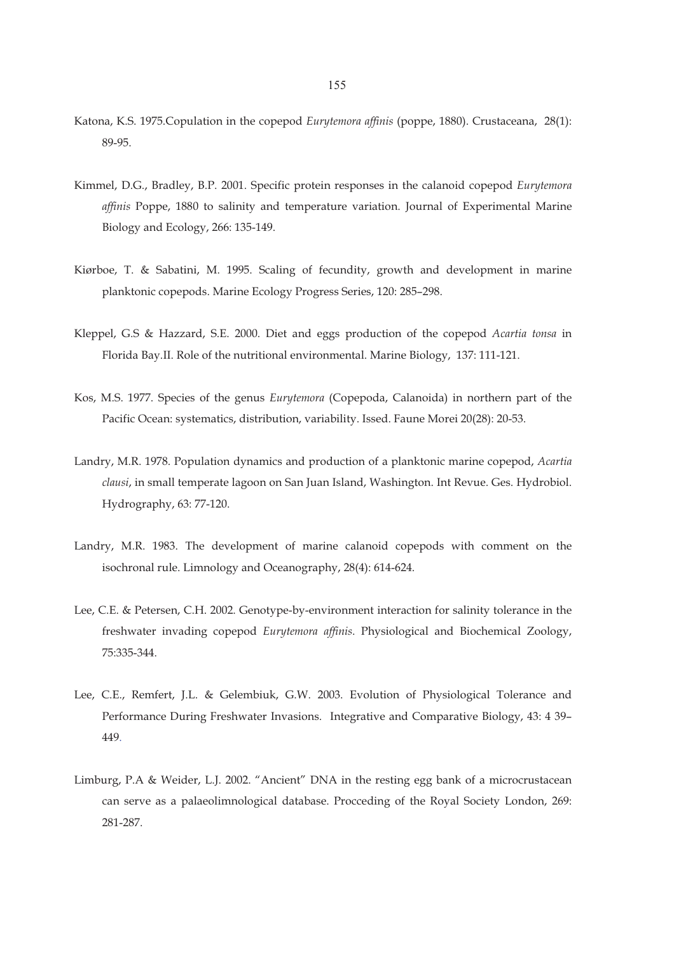- Katona, K.S. 1975.Copulation in the copepod *Eurytemora affinis* (poppe, 1880). Crustaceana, 28(1): 89-95.
- Kimmel, D.G., Bradley, B.P. 2001. Specific protein responses in the calanoid copepod *Eurytemora affinis* Poppe, 1880 to salinity and temperature variation. Journal of Experimental Marine Biology and Ecology, 266: 135-149.
- Kiørboe, T. & Sabatini, M. 1995. Scaling of fecundity, growth and development in marine planktonic copepods. Marine Ecology Progress Series, 120: 285–298.
- Kleppel, G.S & Hazzard, S.E. 2000. Diet and eggs production of the copepod *Acartia tonsa* in Florida Bay.II. Role of the nutritional environmental. Marine Biology, 137: 111-121.
- Kos, M.S. 1977. Species of the genus *Eurytemora* (Copepoda, Calanoida) in northern part of the Pacific Ocean: systematics, distribution, variability. Issed. Faune Morei 20(28): 20-53.
- Landry, M.R. 1978. Population dynamics and production of a planktonic marine copepod, *Acartia clausi*, in small temperate lagoon on San Juan Island, Washington. Int Revue. Ges. Hydrobiol. Hydrography, 63: 77-120.
- Landry, M.R. 1983. The development of marine calanoid copepods with comment on the isochronal rule. Limnology and Oceanography, 28(4): 614-624.
- Lee, C.E. & Petersen, C.H. 2002. Genotype-by-environment interaction for salinity tolerance in the freshwater invading copepod *Eurytemora affinis*. Physiological and Biochemical Zoology, 75:335-344.
- Lee, C.E., Remfert, J.L. & Gelembiuk, G.W. 2003. Evolution of Physiological Tolerance and Performance During Freshwater Invasions. Integrative and Comparative Biology, 43: 4 39– 449.
- Limburg, P.A & Weider, L.J. 2002. "Ancient" DNA in the resting egg bank of a microcrustacean can serve as a palaeolimnological database. Procceding of the Royal Society London, 269: 281-287.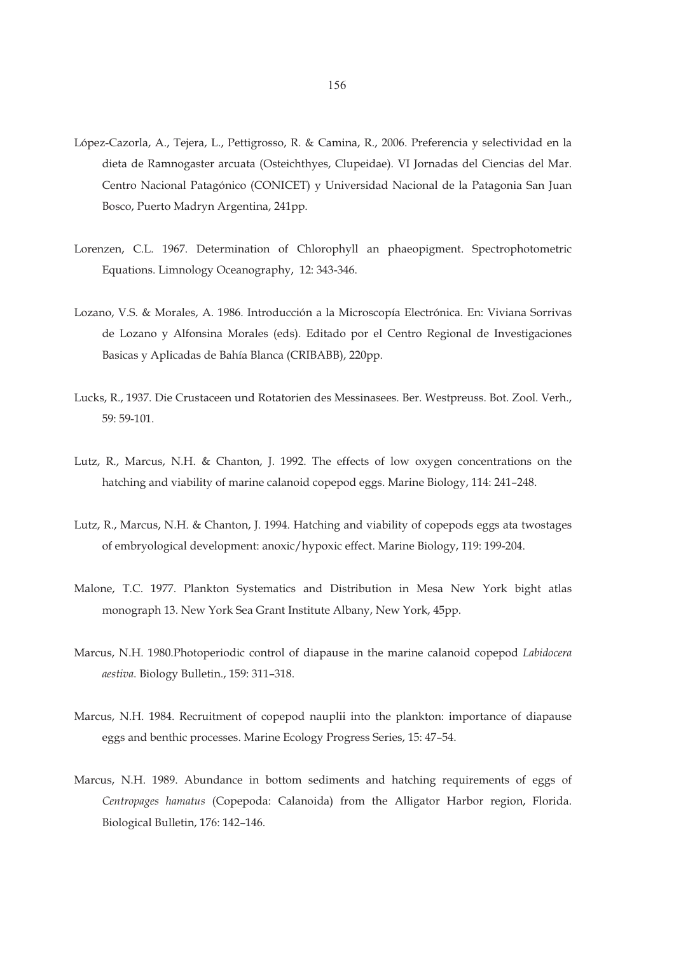- López-Cazorla, A., Tejera, L., Pettigrosso, R. & Camina, R., 2006. Preferencia y selectividad en la dieta de Ramnogaster arcuata (Osteichthyes, Clupeidae). VI Jornadas del Ciencias del Mar. Centro Nacional Patagónico (CONICET) y Universidad Nacional de la Patagonia San Juan Bosco, Puerto Madryn Argentina, 241pp.
- Lorenzen, C.L. 1967. Determination of Chlorophyll an phaeopigment. Spectrophotometric Equations. Limnology Oceanography, 12: 343-346.
- Lozano, V.S. & Morales, A. 1986. Introducción a la Microscopía Electrónica. En: Viviana Sorrivas de Lozano y Alfonsina Morales (eds). Editado por el Centro Regional de Investigaciones Basicas y Aplicadas de Bahía Blanca (CRIBABB), 220pp.
- Lucks, R., 1937. Die Crustaceen und Rotatorien des Messinasees. Ber. Westpreuss. Bot. Zool. Verh., 59: 59-101.
- Lutz, R., Marcus, N.H. & Chanton, J. 1992. The effects of low oxygen concentrations on the hatching and viability of marine calanoid copepod eggs. Marine Biology, 114: 241–248.
- Lutz, R., Marcus, N.H. & Chanton, J. 1994. Hatching and viability of copepods eggs ata twostages of embryological development: anoxic/hypoxic effect. Marine Biology, 119: 199-204.
- Malone, T.C. 1977. Plankton Systematics and Distribution in Mesa New York bight atlas monograph 13. New York Sea Grant Institute Albany, New York, 45pp.
- Marcus, N.H. 1980.Photoperiodic control of diapause in the marine calanoid copepod *Labidocera aestiva*. Biology Bulletin., 159: 311–318.
- Marcus, N.H. 1984. Recruitment of copepod nauplii into the plankton: importance of diapause eggs and benthic processes. Marine Ecology Progress Series, 15: 47–54.
- Marcus, N.H. 1989. Abundance in bottom sediments and hatching requirements of eggs of *Centropages hamatus* (Copepoda: Calanoida) from the Alligator Harbor region, Florida. Biological Bulletin, 176: 142–146.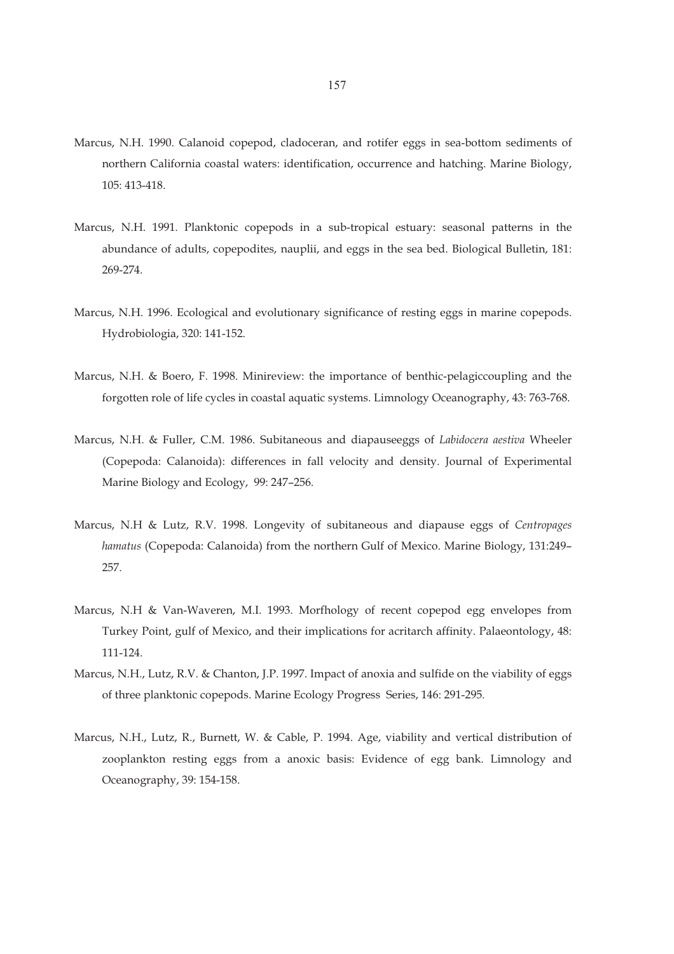- Marcus, N.H. 1990. Calanoid copepod, cladoceran, and rotifer eggs in sea-bottom sediments of northern California coastal waters: identification, occurrence and hatching. Marine Biology, 105: 413-418.
- Marcus, N.H. 1991. Planktonic copepods in a sub-tropical estuary: seasonal patterns in the abundance of adults, copepodites, nauplii, and eggs in the sea bed. Biological Bulletin, 181: 269-274.
- Marcus, N.H. 1996. Ecological and evolutionary significance of resting eggs in marine copepods. Hydrobiologia, 320: 141-152.
- Marcus, N.H. & Boero, F. 1998. Minireview: the importance of benthic-pelagiccoupling and the forgotten role of life cycles in coastal aquatic systems. Limnology Oceanography, 43: 763-768.
- Marcus, N.H. & Fuller, C.M. 1986. Subitaneous and diapauseeggs of *Labidocera aestiva* Wheeler (Copepoda: Calanoida): differences in fall velocity and density. Journal of Experimental Marine Biology and Ecology, 99: 247–256.
- Marcus, N.H & Lutz, R.V. 1998. Longevity of subitaneous and diapause eggs of *Centropages hamatus* (Copepoda: Calanoida) from the northern Gulf of Mexico. Marine Biology, 131:249– 257.
- Marcus, N.H & Van-Waveren, M.I. 1993. Morfhology of recent copepod egg envelopes from Turkey Point, gulf of Mexico, and their implications for acritarch affinity. Palaeontology, 48: 111-124.
- Marcus, N.H., Lutz, R.V. & Chanton, J.P. 1997. Impact of anoxia and sulfide on the viability of eggs of three planktonic copepods. Marine Ecology Progress Series, 146: 291-295.
- Marcus, N.H., Lutz, R., Burnett, W. & Cable, P. 1994. Age, viability and vertical distribution of zooplankton resting eggs from a anoxic basis: Evidence of egg bank. Limnology and Oceanography, 39: 154-158.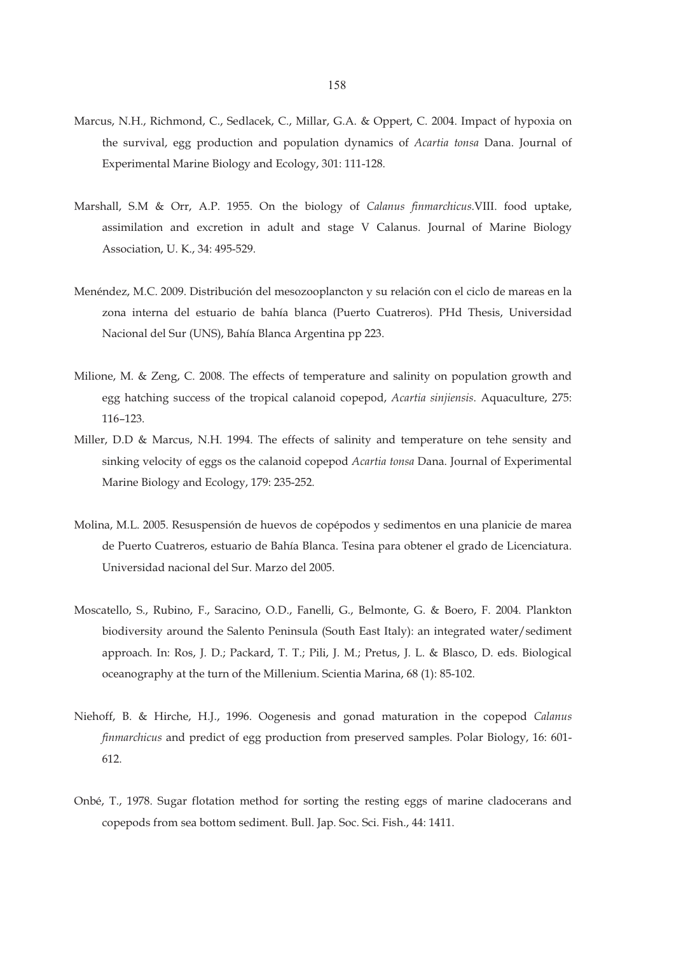- Marcus, N.H., Richmond, C., Sedlacek, C., Millar, G.A. & Oppert, C. 2004. Impact of hypoxia on the survival, egg production and population dynamics of *Acartia tonsa* Dana. Journal of Experimental Marine Biology and Ecology, 301: 111-128.
- Marshall, S.M & Orr, A.P. 1955. On the biology of *Calanus finmarchicus*.VIII. food uptake, assimilation and excretion in adult and stage V Calanus. Journal of Marine Biology Association, U. K., 34: 495-529.
- Menéndez, M.C. 2009. Distribución del mesozooplancton y su relación con el ciclo de mareas en la zona interna del estuario de bahía blanca (Puerto Cuatreros). PHd Thesis, Universidad Nacional del Sur (UNS), Bahía Blanca Argentina pp 223.
- Milione, M. & Zeng, C. 2008. The effects of temperature and salinity on population growth and egg hatching success of the tropical calanoid copepod, *Acartia sinjiensis*. Aquaculture, 275: 116–123.
- Miller, D.D & Marcus, N.H. 1994. The effects of salinity and temperature on tehe sensity and sinking velocity of eggs os the calanoid copepod *Acartia tonsa* Dana. Journal of Experimental Marine Biology and Ecology, 179: 235-252.
- Molina, M.L. 2005. Resuspensión de huevos de copépodos y sedimentos en una planicie de marea de Puerto Cuatreros, estuario de Bahía Blanca. Tesina para obtener el grado de Licenciatura. Universidad nacional del Sur. Marzo del 2005.
- Moscatello, S., Rubino, F., Saracino, O.D., Fanelli, G., Belmonte, G. & Boero, F. 2004. Plankton biodiversity around the Salento Peninsula (South East Italy): an integrated water/sediment approach. In: Ros, J. D.; Packard, T. T.; Pili, J. M.; Pretus, J. L. & Blasco, D. eds. Biological oceanography at the turn of the Millenium. Scientia Marina, 68 (1): 85-102.
- Niehoff, B. & Hirche, H.J., 1996. Oogenesis and gonad maturation in the copepod *Calanus finmarchicus* and predict of egg production from preserved samples. Polar Biology, 16: 601- 612.
- Onbé, T., 1978. Sugar flotation method for sorting the resting eggs of marine cladocerans and copepods from sea bottom sediment. Bull. Jap. Soc. Sci. Fish., 44: 1411.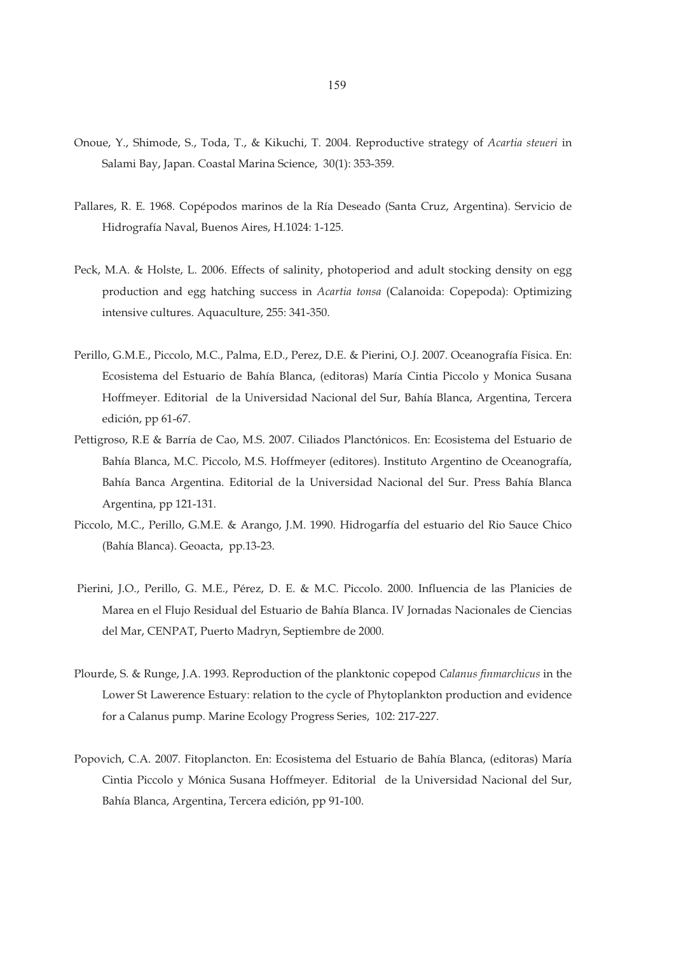- Onoue, Y., Shimode, S., Toda, T., & Kikuchi, T. 2004. Reproductive strategy of *Acartia steueri* in Salami Bay, Japan. Coastal Marina Science, 30(1): 353-359.
- Pallares, R. E. 1968. Copépodos marinos de la Ría Deseado (Santa Cruz, Argentina). Servicio de Hidrografía Naval, Buenos Aires, H.1024: 1-125.
- Peck, M.A. & Holste, L. 2006. Effects of salinity, photoperiod and adult stocking density on egg production and egg hatching success in *Acartia tonsa* (Calanoida: Copepoda): Optimizing intensive cultures. Aquaculture, 255: 341-350.
- Perillo, G.M.E., Piccolo, M.C., Palma, E.D., Perez, D.E. & Pierini, O.J. 2007. Oceanografía Física. En: Ecosistema del Estuario de Bahía Blanca, (editoras) María Cintia Piccolo y Monica Susana Hoffmeyer. Editorial de la Universidad Nacional del Sur, Bahía Blanca, Argentina, Tercera edición, pp 61-67.
- Pettigroso, R.E & Barría de Cao, M.S. 2007. Ciliados Planctónicos. En: Ecosistema del Estuario de Bahía Blanca, M.C. Piccolo, M.S. Hoffmeyer (editores). Instituto Argentino de Oceanografía, Bahía Banca Argentina. Editorial de la Universidad Nacional del Sur. Press Bahía Blanca Argentina, pp 121-131.
- Piccolo, M.C., Perillo, G.M.E. & Arango, J.M. 1990. Hidrogarfía del estuario del Rio Sauce Chico (Bahía Blanca). Geoacta, pp.13-23.
- Pierini, J.O., Perillo, G. M.E., Pérez, D. E. & M.C. Piccolo. 2000. Influencia de las Planicies de Marea en el Flujo Residual del Estuario de Bahía Blanca. IV Jornadas Nacionales de Ciencias del Mar, CENPAT, Puerto Madryn, Septiembre de 2000.
- Plourde, S. & Runge, J.A. 1993. Reproduction of the planktonic copepod *Calanus finmarchicus* in the Lower St Lawerence Estuary: relation to the cycle of Phytoplankton production and evidence for a Calanus pump. Marine Ecology Progress Series, 102: 217-227.
- Popovich, C.A. 2007. Fitoplancton. En: Ecosistema del Estuario de Bahía Blanca, (editoras) María Cintia Piccolo y Mónica Susana Hoffmeyer. Editorial de la Universidad Nacional del Sur, Bahía Blanca, Argentina, Tercera edición, pp 91-100.